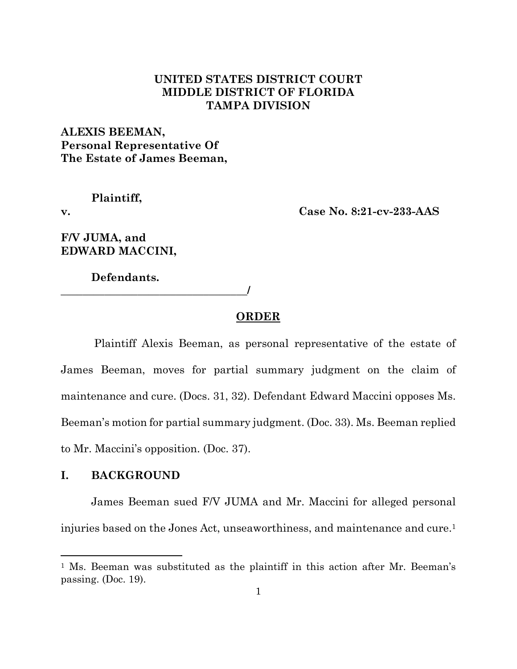# **UNITED STATES DISTRICT COURT MIDDLE DISTRICT OF FLORIDA TAMPA DIVISION**

**ALEXIS BEEMAN, Personal Representative Of The Estate of James Beeman,** 

**Plaintiff,**

**v. Case No. 8:21-cv-233-AAS**

**F/V JUMA, and EDWARD MACCINI,** 

**Defendants.**

**\_\_\_\_\_\_\_\_\_\_\_\_\_\_\_\_\_\_\_\_\_\_\_\_\_\_\_\_\_\_\_\_\_\_/**

## **ORDER**

Plaintiff Alexis Beeman, as personal representative of the estate of James Beeman, moves for partial summary judgment on the claim of maintenance and cure. (Docs. 31, 32). Defendant Edward Maccini opposes Ms. Beeman's motion for partial summary judgment. (Doc. 33). Ms. Beeman replied to Mr. Maccini's opposition. (Doc. 37).

## **I. BACKGROUND**

James Beeman sued F/V JUMA and Mr. Maccini for alleged personal injuries based on the Jones Act, unseaworthiness, and maintenance and cure. 1

<sup>&</sup>lt;sup>1</sup> Ms. Beeman was substituted as the plaintiff in this action after Mr. Beeman's passing. (Doc. 19).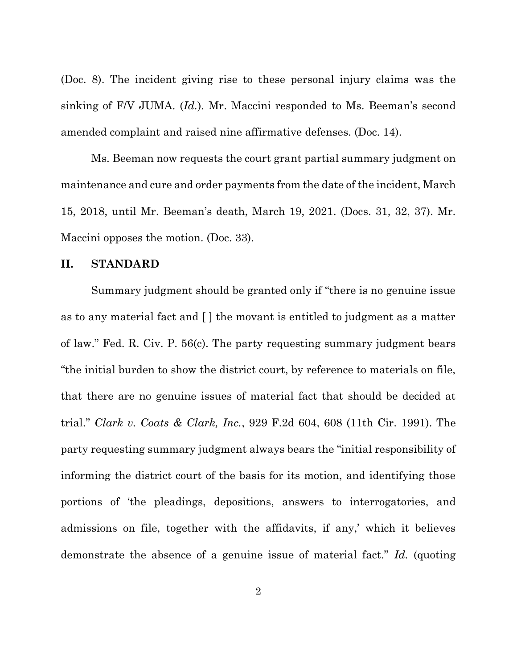(Doc. 8). The incident giving rise to these personal injury claims was the sinking of F/V JUMA. (*Id.*). Mr. Maccini responded to Ms. Beeman's second amended complaint and raised nine affirmative defenses. (Doc. 14).

Ms. Beeman now requests the court grant partial summary judgment on maintenance and cure and order payments from the date of the incident, March 15, 2018, until Mr. Beeman's death, March 19, 2021. (Docs. 31, 32, 37). Mr. Maccini opposes the motion. (Doc. 33).

#### **II. STANDARD**

Summary judgment should be granted only if "there is no genuine issue as to any material fact and [ ] the movant is entitled to judgment as a matter of law." Fed. R. Civ. P. 56(c). The party requesting summary judgment bears "the initial burden to show the district court, by reference to materials on file, that there are no genuine issues of material fact that should be decided at trial." *Clark v. Coats & Clark, Inc.*, 929 F.2d 604, 608 (11th Cir. 1991). The party requesting summary judgment always bears the "initial responsibility of informing the district court of the basis for its motion, and identifying those portions of 'the pleadings, depositions, answers to interrogatories, and admissions on file, together with the affidavits, if any,' which it believes demonstrate the absence of a genuine issue of material fact." *Id.* (quoting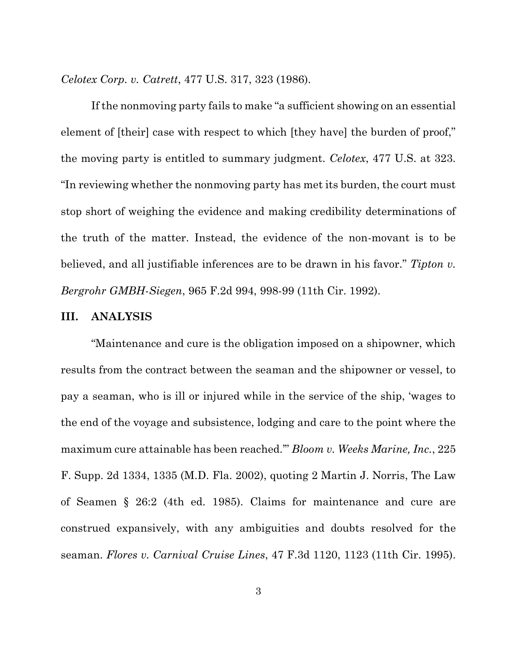*Celotex Corp. v. Catrett*, 477 U.S. 317, 323 (1986).

If the nonmoving party fails to make "a sufficient showing on an essential element of [their] case with respect to which [they have] the burden of proof," the moving party is entitled to summary judgment. *Celotex*, 477 U.S. at 323. "In reviewing whether the nonmoving party has met its burden, the court must stop short of weighing the evidence and making credibility determinations of the truth of the matter. Instead, the evidence of the non-movant is to be believed, and all justifiable inferences are to be drawn in his favor." *Tipton v. Bergrohr GMBH-Siegen*, 965 F.2d 994, 998-99 (11th Cir. 1992).

#### **III. ANALYSIS**

"Maintenance and cure is the obligation imposed on a shipowner, which results from the contract between the seaman and the shipowner or vessel, to pay a seaman, who is ill or injured while in the service of the ship, 'wages to the end of the voyage and subsistence, lodging and care to the point where the maximum cure attainable has been reached.'" *Bloom v. Weeks Marine, Inc.*, 225 F. Supp. 2d 1334, 1335 (M.D. Fla. 2002), quoting 2 Martin J. Norris, The Law of Seamen § 26:2 (4th ed. 1985). Claims for maintenance and cure are construed expansively, with any ambiguities and doubts resolved for the seaman. *Flores v. Carnival Cruise Lines*, 47 F.3d 1120, 1123 (11th Cir. 1995).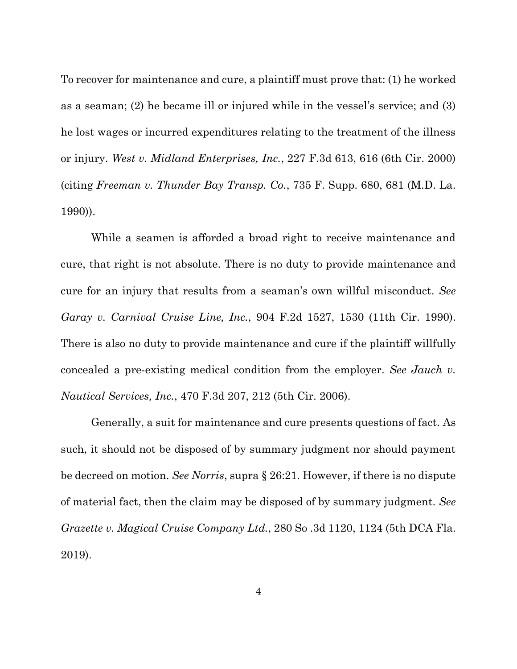To recover for maintenance and cure, a plaintiff must prove that: (1) he worked as a seaman; (2) he became ill or injured while in the vessel's service; and (3) he lost wages or incurred expenditures relating to the treatment of the illness or injury. *West v. Midland Enterprises, Inc.*, 227 F.3d 613, 616 (6th Cir. 2000) (citing *Freeman v. Thunder Bay Transp. Co.*, 735 F. Supp. 680, 681 (M.D. La. 1990)).

While a seamen is afforded a broad right to receive maintenance and cure, that right is not absolute. There is no duty to provide maintenance and cure for an injury that results from a seaman's own willful misconduct. *See Garay v. Carnival Cruise Line, Inc.*, 904 F.2d 1527, 1530 (11th Cir. 1990). There is also no duty to provide maintenance and cure if the plaintiff willfully concealed a pre-existing medical condition from the employer. *See Jauch v. Nautical Services, Inc.*, 470 F.3d 207, 212 (5th Cir. 2006).

Generally, a suit for maintenance and cure presents questions of fact. As such, it should not be disposed of by summary judgment nor should payment be decreed on motion. *See Norris*, supra § 26:21. However, if there is no dispute of material fact, then the claim may be disposed of by summary judgment. *See Grazette v. Magical Cruise Company Ltd.*, 280 So .3d 1120, 1124 (5th DCA Fla. 2019).